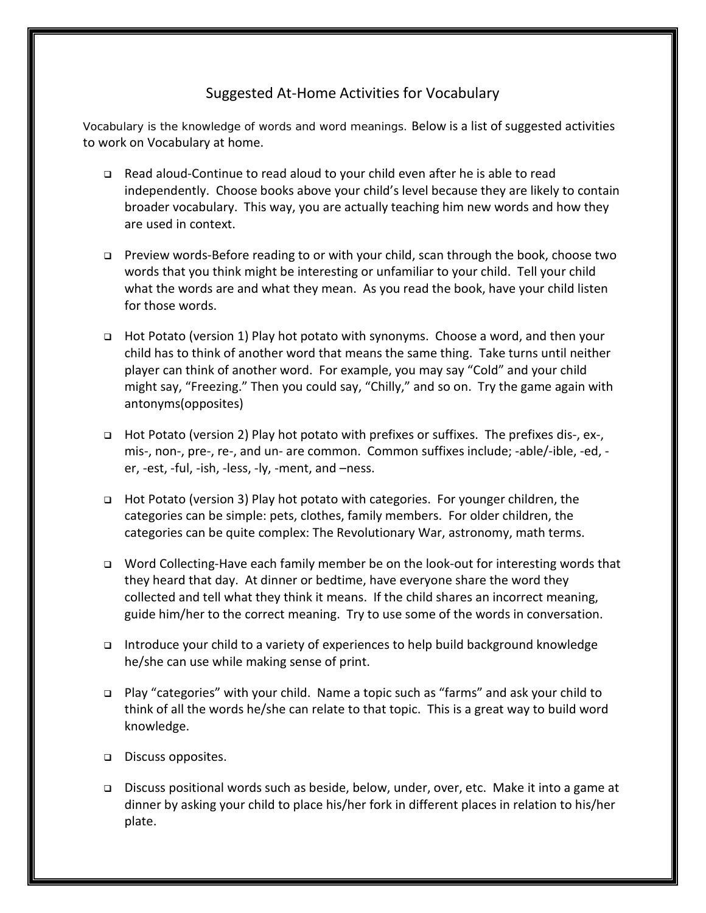## Suggested At-Home Activities for Vocabulary

Vocabulary is the knowledge of words and word meanings. Below is a list of suggested activities to work on Vocabulary at home.

- Read aloud-Continue to read aloud to your child even after he is able to read independently. Choose books above your child's level because they are likely to contain broader vocabulary. This way, you are actually teaching him new words and how they are used in context.
- Preview words-Before reading to or with your child, scan through the book, choose two words that you think might be interesting or unfamiliar to your child. Tell your child what the words are and what they mean. As you read the book, have your child listen for those words.
- Hot Potato (version 1) Play hot potato with synonyms. Choose a word, and then your child has to think of another word that means the same thing. Take turns until neither player can think of another word. For example, you may say "Cold" and your child might say, "Freezing." Then you could say, "Chilly," and so on. Try the game again with antonyms(opposites)
- Hot Potato (version 2) Play hot potato with prefixes or suffixes. The prefixes dis-, ex-, mis-, non-, pre-, re-, and un- are common. Common suffixes include; -able/-ible, -ed, er, -est, -ful, -ish, -less, -ly, -ment, and –ness.
- Hot Potato (version 3) Play hot potato with categories. For younger children, the categories can be simple: pets, clothes, family members. For older children, the categories can be quite complex: The Revolutionary War, astronomy, math terms.
- □ Word Collecting-Have each family member be on the look-out for interesting words that they heard that day. At dinner or bedtime, have everyone share the word they collected and tell what they think it means. If the child shares an incorrect meaning, guide him/her to the correct meaning. Try to use some of the words in conversation.
- Introduce your child to a variety of experiences to help build background knowledge he/she can use while making sense of print.
- Play "categories" with your child. Name a topic such as "farms" and ask your child to think of all the words he/she can relate to that topic. This is a great way to build word knowledge.
- □ Discuss opposites.
- Discuss positional words such as beside, below, under, over, etc. Make it into a game at dinner by asking your child to place his/her fork in different places in relation to his/her plate.